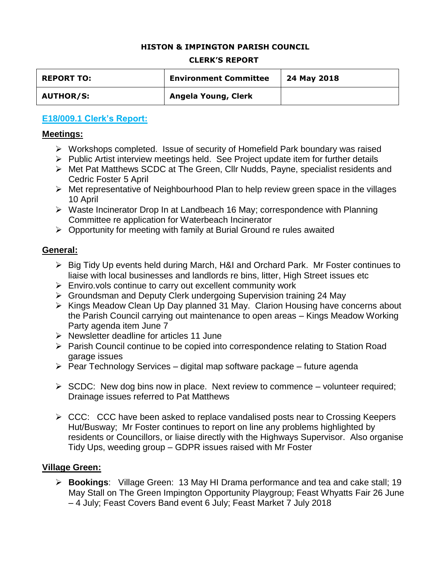#### **HISTON & IMPINGTON PARISH COUNCIL**

#### **CLERK'S REPORT**

| <b>REPORT TO:</b> | <b>Environment Committee</b> | 24 May 2018 |
|-------------------|------------------------------|-------------|
| <b>AUTHOR/S:</b>  | Angela Young, Clerk          |             |

### **E18/009.1 Clerk's Report:**

#### **Meetings:**

- Workshops completed. Issue of security of Homefield Park boundary was raised
- $\triangleright$  Public Artist interview meetings held. See Project update item for further details
- Met Pat Matthews SCDC at The Green, Cllr Nudds, Payne, specialist residents and Cedric Foster 5 April
- $\triangleright$  Met representative of Neighbourhood Plan to help review green space in the villages 10 April
- Waste Incinerator Drop In at Landbeach 16 May; correspondence with Planning Committee re application for Waterbeach Incinerator
- $\triangleright$  Opportunity for meeting with family at Burial Ground re rules awaited

#### **General:**

- Big Tidy Up events held during March, H&I and Orchard Park. Mr Foster continues to liaise with local businesses and landlords re bins, litter, High Street issues etc
- $\triangleright$  Enviro.vols continue to carry out excellent community work
- Groundsman and Deputy Clerk undergoing Supervision training 24 May
- $\triangleright$  Kings Meadow Clean Up Day planned 31 May. Clarion Housing have concerns about the Parish Council carrying out maintenance to open areas – Kings Meadow Working Party agenda item June 7
- $\triangleright$  Newsletter deadline for articles 11 June
- Parish Council continue to be copied into correspondence relating to Station Road garage issues
- $\triangleright$  Pear Technology Services digital map software package future agenda
- $\triangleright$  SCDC: New dog bins now in place. Next review to commence volunteer required; Drainage issues referred to Pat Matthews
- $\triangleright$  CCC: CCC have been asked to replace vandalised posts near to Crossing Keepers Hut/Busway; Mr Foster continues to report on line any problems highlighted by residents or Councillors, or liaise directly with the Highways Supervisor. Also organise Tidy Ups, weeding group – GDPR issues raised with Mr Foster

### **Village Green:**

 **Bookings**: Village Green: 13 May HI Drama performance and tea and cake stall; 19 May Stall on The Green Impington Opportunity Playgroup; Feast Whyatts Fair 26 June – 4 July; Feast Covers Band event 6 July; Feast Market 7 July 2018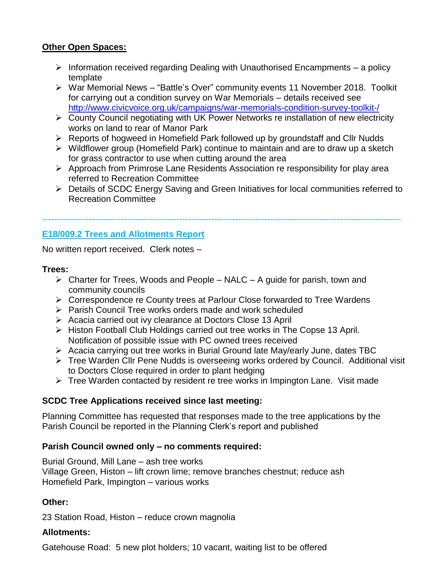# **Other Open Spaces:**

- $\triangleright$  Information received regarding Dealing with Unauthorised Encampments a policy template
- War Memorial News "Battle's Over" community events 11 November 2018. Toolkit for carrying out a condition survey on War Memorials – details received see <http://www.civicvoice.org.uk/campaigns/war-memorials-condition-survey-toolkit-/>
- County Council negotiating with UK Power Networks re installation of new electricity works on land to rear of Manor Park
- Reports of hogweed in Homefield Park followed up by groundstaff and Cllr Nudds
- $\triangleright$  Wildflower group (Homefield Park) continue to maintain and are to draw up a sketch for grass contractor to use when cutting around the area
- $\triangleright$  Approach from Primrose Lane Residents Association re responsibility for play area referred to Recreation Committee

---------------------------------------------------------------------------------------------------------------------------

 Details of SCDC Energy Saving and Green Initiatives for local communities referred to Recreation Committee

# **E18/009.2 Trees and Allotments Report**

No written report received. Clerk notes –

### **Trees:**

- $\triangleright$  Charter for Trees, Woods and People NALC A guide for parish, town and community councils
- Correspondence re County trees at Parlour Close forwarded to Tree Wardens
- $\triangleright$  Parish Council Tree works orders made and work scheduled
- Acacia carried out ivy clearance at Doctors Close 13 April
- ▶ Histon Football Club Holdings carried out tree works in The Copse 13 April. Notification of possible issue with PC owned trees received
- $\triangleright$  Acacia carrying out tree works in Burial Ground late May/early June, dates TBC
- Tree Warden Cllr Pene Nudds is overseeing works ordered by Council. Additional visit to Doctors Close required in order to plant hedging
- $\triangleright$  Tree Warden contacted by resident re tree works in Impington Lane. Visit made

# **SCDC Tree Applications received since last meeting:**

Planning Committee has requested that responses made to the tree applications by the Parish Council be reported in the Planning Clerk's report and published

# **Parish Council owned only – no comments required:**

Burial Ground, Mill Lane – ash tree works Village Green, Histon – lift crown lime; remove branches chestnut; reduce ash Homefield Park, Impington – various works

# **Other:**

23 Station Road, Histon – reduce crown magnolia

# **Allotments:**

Gatehouse Road: 5 new plot holders; 10 vacant, waiting list to be offered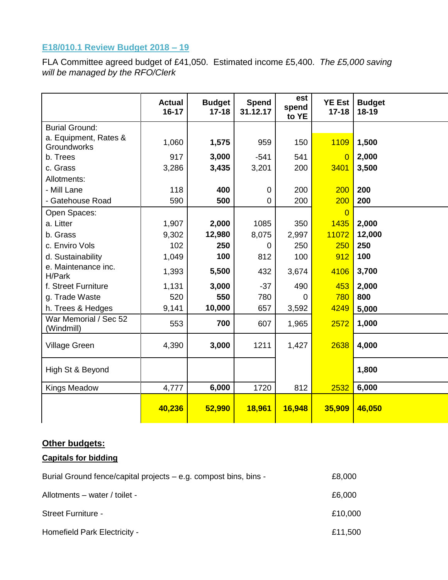# **E18/010.1 Review Budget 2018 – 19**

FLA Committee agreed budget of £41,050. Estimated income £5,400. *The £5,000 saving will be managed by the RFO/Clerk*

|                                      | <b>Actual</b><br>$16 - 17$ | <b>Budget</b><br>$17 - 18$ | <b>Spend</b><br>31.12.17 | est<br>spend<br>to YE | <b>YE Est</b><br>$17 - 18$ | <b>Budget</b><br>$18 - 19$ |
|--------------------------------------|----------------------------|----------------------------|--------------------------|-----------------------|----------------------------|----------------------------|
| <b>Burial Ground:</b>                |                            |                            |                          |                       |                            |                            |
| a. Equipment, Rates &<br>Groundworks | 1,060                      | 1,575                      | 959                      | 150                   | 1109                       | 1,500                      |
| b. Trees                             | 917                        | 3,000                      | $-541$                   | 541                   | $\overline{0}$             | 2,000                      |
| c. Grass                             | 3,286                      | 3,435                      | 3,201                    | 200                   | 3401                       | 3,500                      |
| Allotments:                          |                            |                            |                          |                       |                            |                            |
| - Mill Lane                          | 118                        | 400                        | $\mathbf 0$              | 200                   | 200                        | 200                        |
| - Gatehouse Road                     | 590                        | 500                        | $\overline{0}$           | 200                   | 200                        | 200                        |
| Open Spaces:                         |                            |                            |                          |                       | 0                          |                            |
| a. Litter                            | 1,907                      | 2,000                      | 1085                     | 350                   | 1435                       | 2,000                      |
| b. Grass                             | 9,302                      | 12,980                     | 8,075                    | 2,997                 | 11072                      | 12,000                     |
| c. Enviro Vols                       | 102                        | 250                        | $\mathbf 0$              | 250                   | 250                        | 250                        |
| d. Sustainability                    | 1,049                      | 100                        | 812                      | 100                   | 912                        | 100                        |
| e. Maintenance inc.<br>H/Park        | 1,393                      | 5,500                      | 432                      | 3,674                 | 4106                       | 3,700                      |
| f. Street Furniture                  | 1,131                      | 3,000                      | $-37$                    | 490                   | 453                        | 2,000                      |
| g. Trade Waste                       | 520                        | 550                        | 780                      | $\Omega$              | 780                        | 800                        |
| h. Trees & Hedges                    | 9,141                      | 10,000                     | 657                      | 3,592                 | 4249                       | 5,000                      |
| War Memorial / Sec 52<br>(Windmill)  | 553                        | 700                        | 607                      | 1,965                 | 2572                       | 1,000                      |
| <b>Village Green</b>                 | 4,390                      | 3,000                      | 1211                     | 1,427                 | 2638                       | 4,000                      |
| High St & Beyond                     |                            |                            |                          |                       |                            | 1,800                      |
| <b>Kings Meadow</b>                  | 4,777                      | 6,000                      | 1720                     | 812                   | 2532                       | 6,000                      |
|                                      | 40,236                     | 52,990                     | 18,961                   | 16,948                | 35,909                     | 46,050                     |

### **Other budgets:**

# **Capitals for bidding**

| Burial Ground fence/capital projects – e.g. compost bins, bins - | £8,000  |
|------------------------------------------------------------------|---------|
| Allotments - water / toilet -                                    | £6,000  |
| <b>Street Furniture -</b>                                        | £10,000 |
| Homefield Park Electricity -                                     | £11,500 |